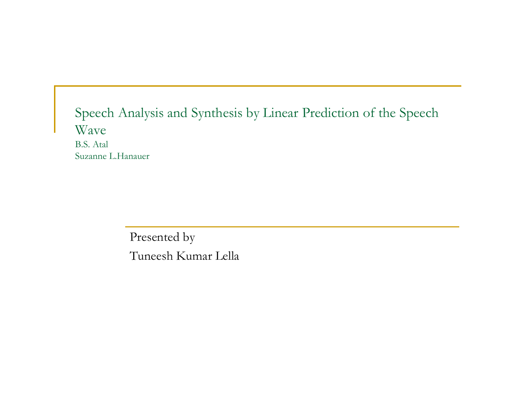#### Speech Analysis and Synthesis by Linear Prediction of the Speech Wave B.S. Atal Suzanne L.Hanauer

Presented by Tuneesh Kumar Lella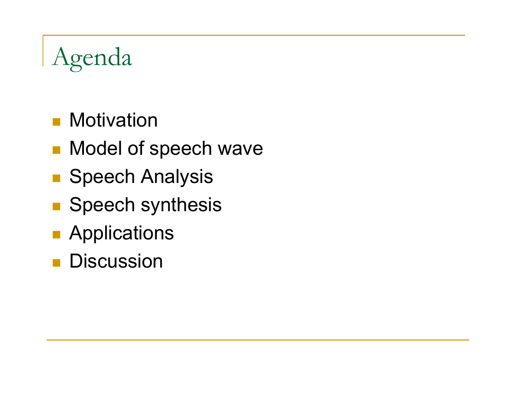# Agenda

#### **• Motivation**

- **Nodel of speech wave**
- **Speech Analysis**
- **Speech synthesis**
- **Applications**
- **Discussion**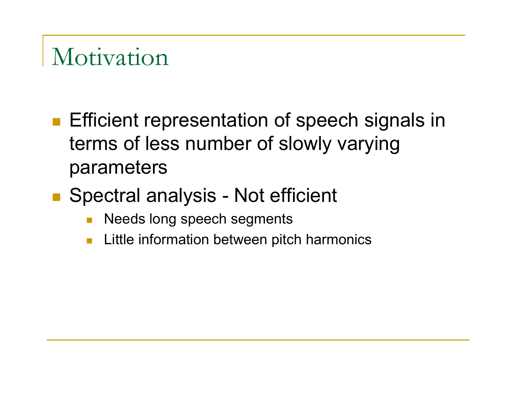#### Motivation

- **Efficient representation of speech signals in** terms of less number of slowly varying parameters
- Spectral analysis Not efficient
	- T. Needs long speech segments
	- T. Little information between pitch harmonics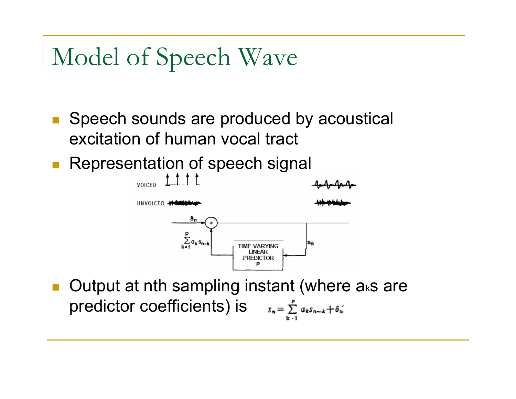#### Model of Speech Wave

- Speech sounds are produced by acoustical excitation of human vocal tract
- П Representation of speech signal



Output at nth sampling instant (where  $a_{k}$ s are П predictor coefficients) is  $s_n = \sum_{k=1}^p a_k s_{n-k} + \delta_n$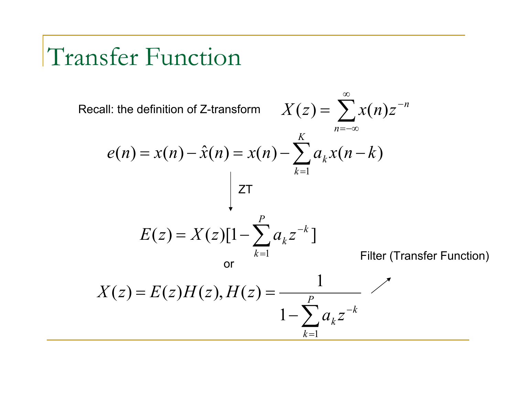#### Transfer Function

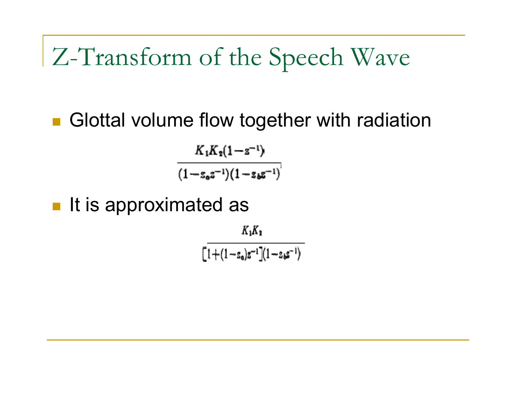# Z-Transform of the Speech Wave

 $\mathcal{L}_{\mathcal{A}}$ Glottal volume flow together with radiation

$$
\frac{K_1K_2(1-z^{-1})}{(1-z_2z^{-1})(1-z_3z^{-1})}
$$

 $\mathbb{R}^n$ It is approximated as

> $K_1K_2$  $\left[1+(1-z_4)z^{-1}\right](1-z_5z^{-1})$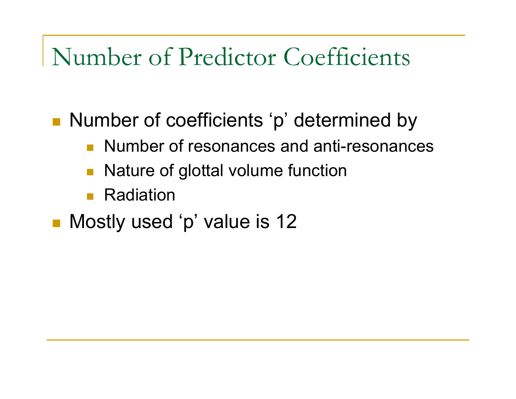#### Number of Predictor Coefficients

**Number of coefficients 'p' determined by** 

- Number of resonances and anti-resonances
- Nature of glottal volume function
- Radiation
- Mostly used 'p' value is 12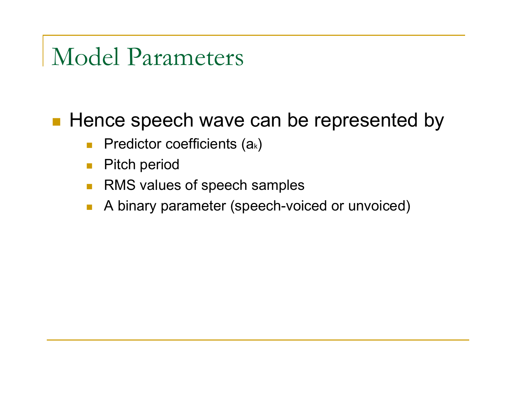#### Model Parameters

#### $\mathcal{L}_{\mathcal{A}}$ Hence speech wave can be represented by

- T. **Predictor coefficients (a**k)
- $\mathcal{L}_{\mathcal{A}}$ Pitch period
- T. RMS values of speech samples
- T. A binary parameter (speech-voiced or unvoiced)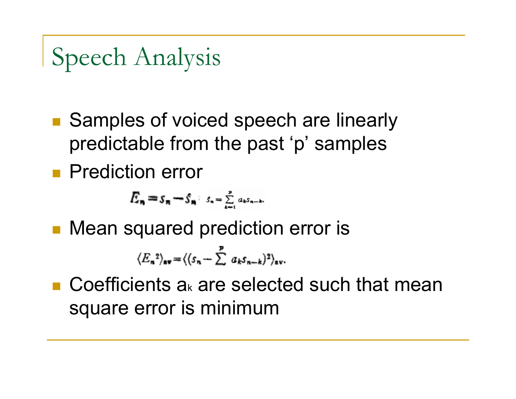### Speech Analysis

■ Samples of voiced speech are linearly predictable from the past 'p' samples

**Prediction error** 

$$
E_n = S_n - S_n \qquad s_n = \sum_{k=1}^p a_k s_{n-k}.
$$

Mean squared prediction error is

$$
\langle E_n^2 \rangle_{\rm av} = \langle (s_n - \sum_{k=1}^p a_k s_{n-k})^2 \rangle_{\rm av}.
$$

 $\blacksquare$  Coefficients a<sub>k</sub> are selected such that mean square error is minimum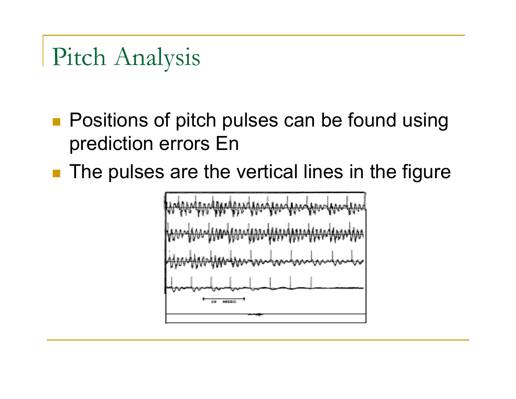#### Pitch Analysis

- **Positions of pitch pulses can be found using** prediction errors En
- **The pulses are the vertical lines in the figure**

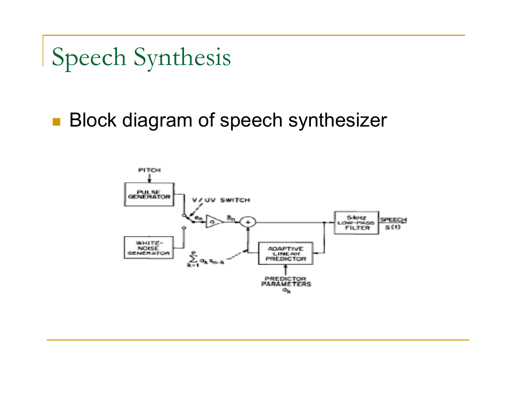## Speech Synthesis

#### $\mathcal{L}_{\mathcal{A}}$ Block diagram of speech synthesizer

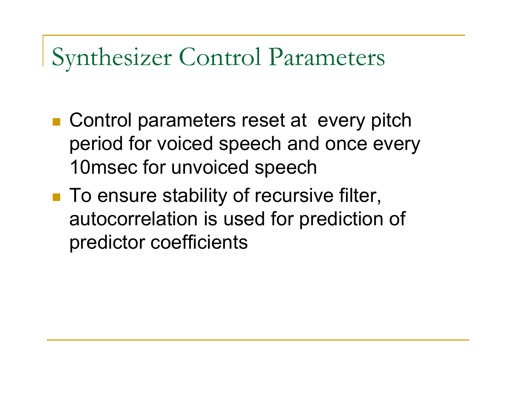#### Synthesizer Control Parameters

- Control parameters reset at every pitch period for voiced speech and once every 10msec for unvoiced speech
- To ensure stability of recursive filter, autocorrelation is used for prediction of predictor coefficients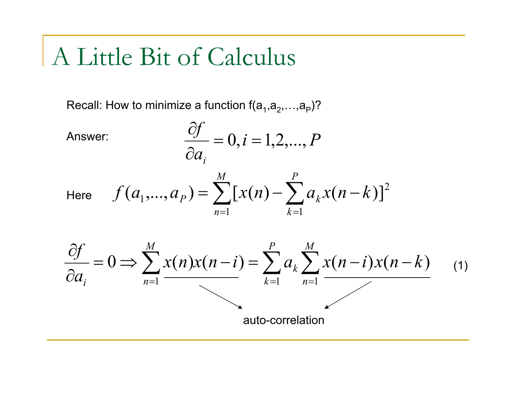#### A Little Bit of Calculus

Recall: How to minimize a function f(a $_{1}$ ,a $_{2},$ …,a $_{\mathsf{P}}$ )?

Answer: 
$$
\frac{\partial f}{\partial a_i} = 0, i = 1, 2, ..., P
$$
  
\nHere  $f(a_1, ..., a_p) = \sum_{n=1}^{M} [x(n) - \sum_{k=1}^{P} a_k x(n-k)]^2$ 

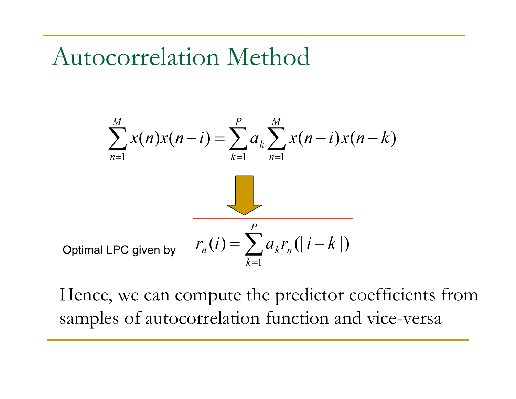#### Autocorrelation Method



Hence, we can compute the predictor coefficients from samples of autocorrelation function and vice-versa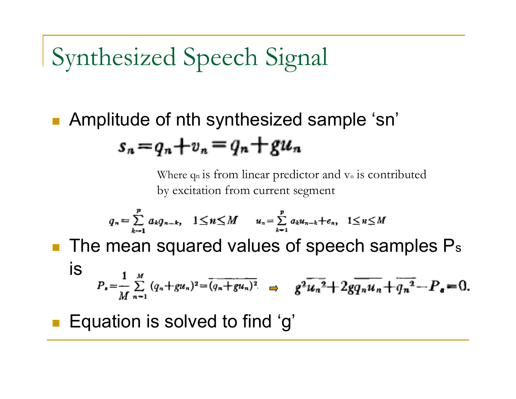## Synthesized Speech Signal

Amplitude of nth synthesized sample 'sn'

 $s_n = q_n + v_n = q_n + gu_n$ 

Where q n is from linear predictor and v n is contributed by excitation from current segment

$$
q_n = \sum_{k=1}^p a_k q_{n-k}, \quad 1 \le n \le M \qquad u_n = \sum_{k=1}^p a_k u_{n-k} + e_n, \quad 1 \le n \le M
$$
\nThe mean squared values of speech samples P<sub>S</sub>

\nis

\n
$$
P_s = \frac{1}{M} \sum_{n=1}^M (q_n + gu_n)^2 = \overline{(q_n + gu_n)^2} \qquad g^2 \overline{u_n^2} + 2g \overline{q_n u_n} + \overline{q_n^2} - P_s = 0.
$$

T. Equation is solved to find 'g'

Г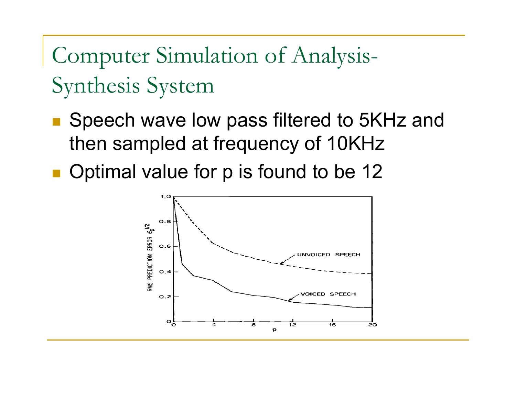#### Computer Simulation of Analysis-Synthesis System

- Speech wave low pass filtered to 5KHz and then sampled at frequency of 10KHz
- Optimal value for p is found to be 12

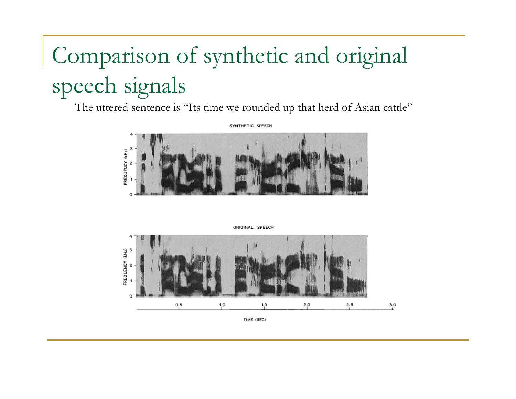### Comparison of synthetic and original speech signals

The uttered sentence is "Its time we rounded up that herd of Asian cattle"

SYNTHETIC SPEECH FREQUENCY (KHZ)



TIME (SEC)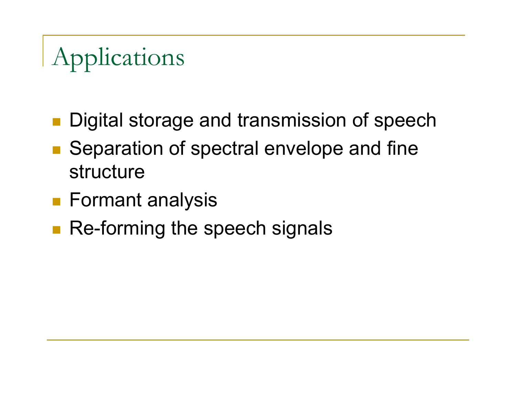# Applications

- Digital storage and transmission of speech
- Separation of spectral envelope and fine structure
- Formant analysis
- Re-forming the speech signals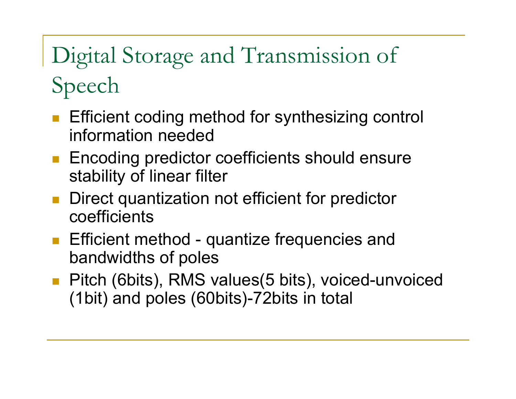## Digital Storage and Transmission of Speech

- П Efficient coding method for synthesizing control information needed
- **Encoding predictor coefficients should ensure** stability of linear filter
- $\mathcal{L}^{\text{max}}$  Direct quantization not efficient for predictor coefficients
- П Efficient method - quantize frequencies and bandwidths of poles
- Pitch (6bits), RMS values(5 bits), voiced-unvoiced (1bit) and poles (60bits)-72bits in total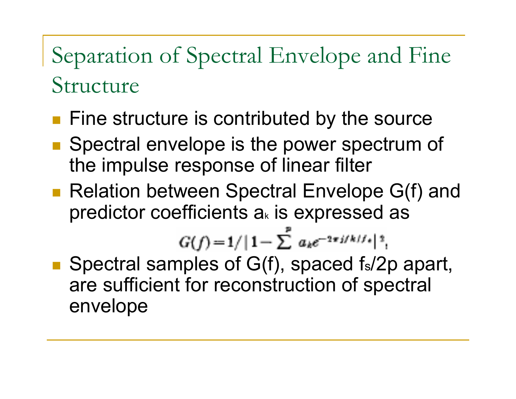#### Separation of Spectral Envelope and Fine Structure

- **Fine structure is contributed by the source**
- Spectral envelope is the power spectrum of the impulse response of linear filter
- Relation between Spectral Envelope G(f) and predictor coefficients  $\mathbf{a}_{\mathsf{k}}$  is expressed as

$$
G(f) = 1/|1 - \sum_{k=0}^{p} a_k e^{-2\pi i f k/f_k}|^2,
$$

Spectral samples of  $G(f)$ , spaced fs/2p apart, are sufficient for reconstruction of spectral envelope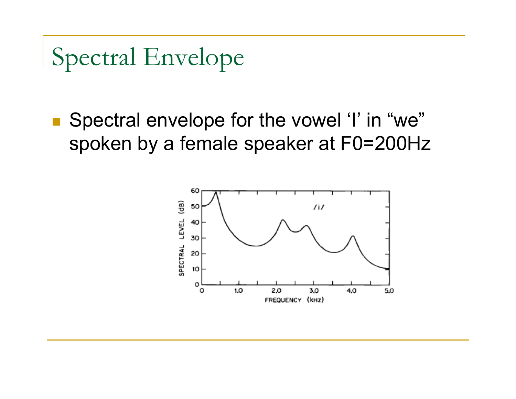### Spectral Envelope

 Spectral envelope for the vowel 'I' in "we" spoken by a female speaker at F0=200Hz

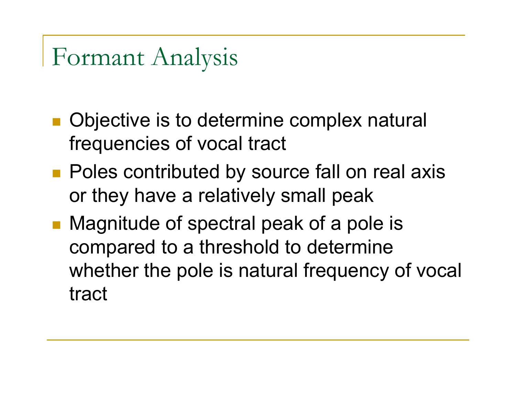#### Formant Analysis

- Objective is to determine complex natural frequencies of vocal tract
- **Poles contributed by source fall on real axis** or they have a relatively small peak
- Magnitude of spectral peak of a pole is compared to a threshold to determine whether the pole is natural frequency of vocal tract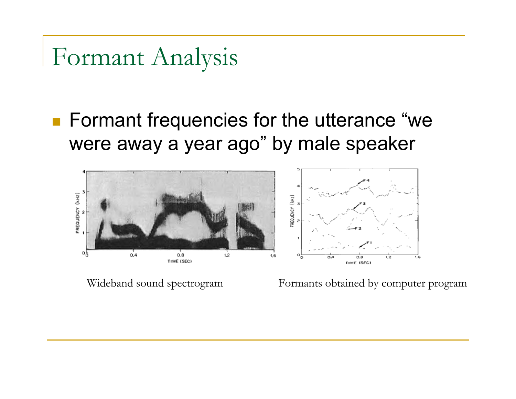#### Formant Analysis

#### **Formant frequencies for the utterance "we** were away a year ago" by male speaker



Wideband sound spectrogram Formants obtained by computer program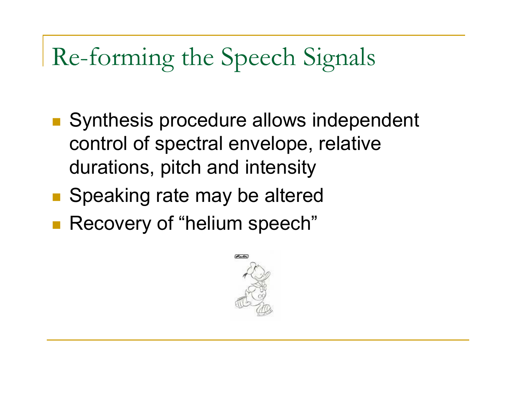# Re-forming the Speech Signals

- Synthesis procedure allows independent control of spectral envelope, relative durations, pitch and intensity
- **Speaking rate may be altered**
- Recovery of "helium speech"

![](_page_23_Picture_4.jpeg)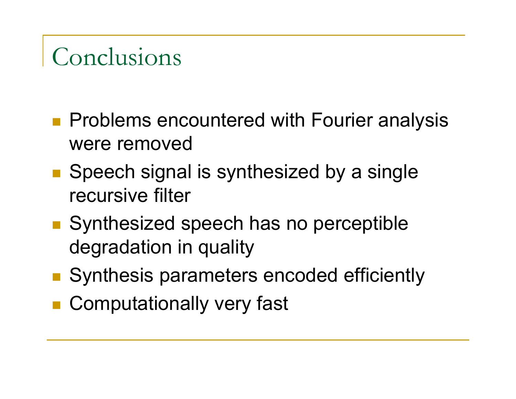#### Conclusions

- **Problems encountered with Fourier analysis** were removed
- Speech signal is synthesized by a single recursive filter
- Synthesized speech has no perceptible degradation in quality
- Synthesis parameters encoded efficiently
- Computationally very fast